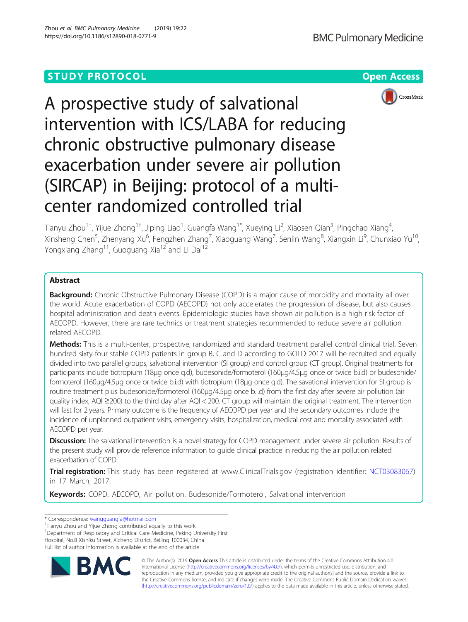# **STUDY PROTOCOL CONSUMING THE RESERVE ACCESS**





A prospective study of salvational intervention with ICS/LABA for reducing chronic obstructive pulmonary disease exacerbation under severe air pollution (SIRCAP) in Beijing: protocol of a multicenter randomized controlled trial

Tianyu Zhou<sup>1†</sup>, Yijue Zhong<sup>1†</sup>, Jiping Liao<sup>1</sup>, Guangfa Wang<sup>1\*</sup>, Xueying Li<sup>2</sup>, Xiaosen Qian<sup>3</sup>, Pingchao Xiang<sup>4</sup> , Xinsheng Chen<sup>5</sup>, Zhenyang Xu<sup>6</sup>, Fengzhen Zhang<sup>7</sup>, Xiaoguang Wang<sup>7</sup>, Senlin Wang<sup>8</sup>, Xiangxin Li<sup>9</sup>, Chunxiao Yu<sup>10</sup>, Yongxiang Zhang<sup>11</sup>, Guoguang Xia<sup>12</sup> and Li Dai<sup>12</sup>

## Abstract

Background: Chronic Obstructive Pulmonary Disease (COPD) is a major cause of morbidity and mortality all over the world. Acute exacerbation of COPD (AECOPD) not only accelerates the progression of disease, but also causes hospital administration and death events. Epidemiologic studies have shown air pollution is a high risk factor of AECOPD. However, there are rare technics or treatment strategies recommended to reduce severe air pollution related AECOPD.

Methods: This is a multi-center, prospective, randomized and standard treatment parallel control clinical trial. Seven hundred sixty-four stable COPD patients in group B, C and D according to GOLD 2017 will be recruited and equally divided into two parallel groups, salvational intervention (SI group) and control group (CT group). Original treatments for participants include tiotropium (18μg once q.d), budesonide/formoterol (160μg/4.5μg once or twice b.i.d) or budesonide/ formoterol (160μg/4.5μg once or twice b.i.d) with tiotropium (18μg once q.d). The savational intervention for SI group is routine treatment plus budesonide/formoterol (160μg/4.5μg once b.i.d) from the first day after severe air pollution (air quality index, AQI ≥200) to the third day after AQI < 200. CT group will maintain the original treatment. The intervention will last for 2 years. Primary outcome is the frequency of AECOPD per year and the secondary outcomes include the incidence of unplanned outpatient visits, emergency visits, hospitalization, medical cost and mortality associated with AECOPD per year.

Discussion: The salvational intervention is a novel strategy for COPD management under severe air pollution. Results of the present study will provide reference information to guide clinical practice in reducing the air pollution related exacerbation of COPD.

Trial registration: This study has been registered at www.ClinicalTrials.gov (registration identifier: [NCT03083067](http://www.clinicaltrials.gov/)) in 17 March, 2017.

Keywords: COPD, AECOPD, Air pollution, Budesonide/Formoterol, Salvational intervention

\* Correspondence: [wangguangfa@hotmail.com](mailto:wangguangfa@hotmail.com) †

<sup>+</sup>Tianyu Zhou and Yijue Zhong contributed equally to this work.

<sup>1</sup>Department of Respiratory and Critical Care Medicine, Peking University First Hospital, No.8 Xishiku Street, Xicheng District, Beijing 100034, China

Full list of author information is available at the end of the article



© The Author(s). 2019 Open Access This article is distributed under the terms of the Creative Commons Attribution 4.0 International License [\(http://creativecommons.org/licenses/by/4.0/](http://creativecommons.org/licenses/by/4.0/)), which permits unrestricted use, distribution, and reproduction in any medium, provided you give appropriate credit to the original author(s) and the source, provide a link to the Creative Commons license, and indicate if changes were made. The Creative Commons Public Domain Dedication waiver [\(http://creativecommons.org/publicdomain/zero/1.0/](http://creativecommons.org/publicdomain/zero/1.0/)) applies to the data made available in this article, unless otherwise stated.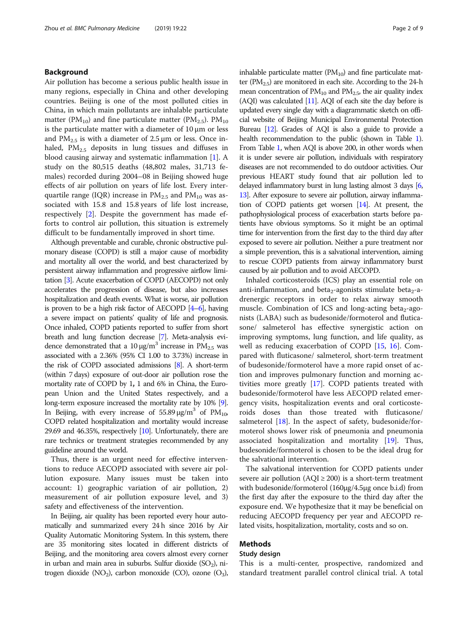## Background

Air pollution has become a serious public health issue in many regions, especially in China and other developing countries. Beijing is one of the most polluted cities in China, in which main pollutants are inhalable particulate matter (PM<sub>10</sub>) and fine particulate matter (PM<sub>2.5</sub>). PM<sub>10</sub> is the particulate matter with a diameter of  $10 \mu m$  or less and  $PM_{2.5}$  is with a diameter of 2.5  $\mu$ m or less. Once inhaled,  $PM_{2.5}$  deposits in lung tissues and diffuses in blood causing airway and systematic inflammation [\[1](#page-7-0)]. A study on the 80,515 deaths (48,802 males, 31,713 females) recorded during 2004–08 in Beijing showed huge effects of air pollution on years of life lost. Every interquartile range (IQR) increase in  $PM_{2.5}$  and  $PM_{10}$  was associated with 15.8 and 15.8 years of life lost increase, respectively [\[2](#page-7-0)]. Despite the government has made efforts to control air pollution, this situation is extremely difficult to be fundamentally improved in short time.

Although preventable and curable, chronic obstructive pulmonary disease (COPD) is still a major cause of morbidity and mortality all over the world, and best characterized by persistent airway inflammation and progressive airflow limitation [\[3](#page-7-0)]. Acute exacerbation of COPD (AECOPD) not only accelerates the progression of disease, but also increases hospitalization and death events. What is worse, air pollution is proven to be a high risk factor of AECOPD [\[4](#page-7-0)–[6](#page-8-0)], having a severe impact on patients' quality of life and prognosis. Once inhaled, COPD patients reported to suffer from short breath and lung function decrease [[7](#page-8-0)]. Meta-analysis evidence demonstrated that a 10  $\mu$ g/m<sup>3</sup> increase in PM<sub>2.5</sub> was associated with a 2.36% (95% CI 1.00 to 3.73%) increase in the risk of COPD associated admissions [[8](#page-8-0)]. A short-term (within 7 days) exposure of out-door air pollution rose the mortality rate of COPD by 1, 1 and 6% in China, the European Union and the United States respectively, and a long-term exposure increased the mortality rate by 10% [\[9\]](#page-8-0). In Beijing, with every increase of 55.89  $\mu$ g/m<sup>3</sup> of PM<sub>10</sub>, COPD related hospitalization and mortality would increase 29.69 and 46.35%, respectively  $[10]$  $[10]$ . Unfortunately, there are rare technics or treatment strategies recommended by any guideline around the world.

Thus, there is an urgent need for effective interventions to reduce AECOPD associated with severe air pollution exposure. Many issues must be taken into account: 1) geographic variation of air pollution, 2) measurement of air pollution exposure level, and 3) safety and effectiveness of the intervention.

In Beijing, air quality has been reported every hour automatically and summarized every 24 h since 2016 by Air Quality Automatic Monitoring System. In this system, there are 35 monitoring sites located in different districts of Beijing, and the monitoring area covers almost every corner in urban and main area in suburbs. Sulfur dioxide  $(SO<sub>2</sub>)$ , nitrogen dioxide  $(NO_2)$ , carbon monoxide  $(CO)$ , ozone  $(O_3)$ , inhalable particulate matter  $(PM_{10})$  and fine particulate matter  $(PM_{2.5})$  are monitored in each site. According to the 24-h mean concentration of  $PM_{10}$  and  $PM_{2.5}$ , the air quality index  $(AQI)$  was calculated  $[11]$ . AQI of each site the day before is updated every single day with a diagrammatic sketch on official website of Beijing Municipal Environmental Protection Bureau [[12\]](#page-8-0). Grades of AQI is also a guide to provide a health recommendation to the public (shown in Table [1\)](#page-2-0). From Table [1,](#page-2-0) when AQI is above 200, in other words when it is under severe air pollution, individuals with respiratory diseases are not recommended to do outdoor activities. Our previous HEART study found that air pollution led to delayed inflammatory burst in lung lasting almost 3 days [\[6](#page-8-0), [13\]](#page-8-0). After exposure to severe air pollution, airway inflammation of COPD patients get worsen [\[14\]](#page-8-0). At present, the pathophysiological process of exacerbation starts before patients have obvious symptoms. So it might be an optimal time for intervention from the first day to the third day after exposed to severe air pollution. Neither a pure treatment nor a simple prevention, this is a salvational intervention, aiming to rescue COPD patients from airway inflammatory burst caused by air pollution and to avoid AECOPD.

Inhaled corticosteroids (ICS) play an essential role on anti-inflammation, and beta<sub>2</sub>-agonists stimulate beta<sub>2</sub>-adrenergic receptors in order to relax airway smooth muscle. Combination of ICS and long-acting beta<sub>2</sub>-agonists (LABA) such as budesonide/formoterol and fluticasone/ salmeterol has effective synergistic action on improving symptoms, lung function, and life quality, as well as reducing exacerbation of COPD [[15,](#page-8-0) [16\]](#page-8-0). Compared with fluticasone/ salmeterol, short-term treatment of budesonide/formoterol have a more rapid onset of action and improves pulmonary function and morning activities more greatly [\[17\]](#page-8-0). COPD patients treated with budesonide/formoterol have less AECOPD related emergency visits, hospitalization events and oral corticosteroids doses than those treated with fluticasone/ salmeterol  $[18]$ . In the aspect of safety, budesonide/formoterol shows lower risk of pneumonia and pneumonia associated hospitalization and mortality [\[19](#page-8-0)]. Thus, budesonide/formoterol is chosen to be the ideal drug for the salvational intervention.

The salvational intervention for COPD patients under severe air pollution  $(AQI \ge 200)$  is a short-term treatment with budesonide/formoterol (160μg/4.5μg once b.i.d) from the first day after the exposure to the third day after the exposure end. We hypothesize that it may be beneficial on reducing AECOPD frequency per year and AECOPD related visits, hospitalization, mortality, costs and so on.

## Methods

## Study design

This is a multi-center, prospective, randomized and standard treatment parallel control clinical trial. A total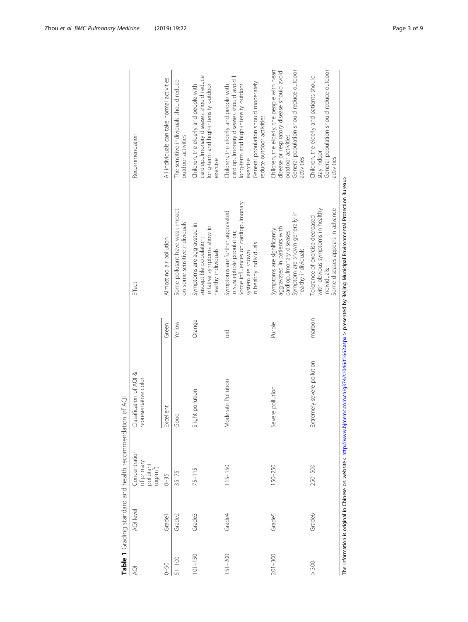<span id="page-2-0"></span>

|             |           | Table 1 Grading standard and health recommendation of AQI     |                                                 |        |                                                                                                                                                                     |                                                                                                                                                                                                         |
|-------------|-----------|---------------------------------------------------------------|-------------------------------------------------|--------|---------------------------------------------------------------------------------------------------------------------------------------------------------------------|---------------------------------------------------------------------------------------------------------------------------------------------------------------------------------------------------------|
| Q           | AQI level | Concentration<br>of primary<br>pollutant<br>$(\text{ug/m}^3)$ | Classification of AQI &<br>representative color |        | Effect                                                                                                                                                              | Recommendation                                                                                                                                                                                          |
| $0 - 50$    | Grade1    | $0 - 35$                                                      | Excellent                                       | Green  | Almost no air pollution                                                                                                                                             | All individuals can take normal activities                                                                                                                                                              |
| $51 - 100$  | Grade2    | $35 - 75$                                                     | Good                                            | Yellow | Some pollutant have weak impact<br>on some sensitive individuals                                                                                                    | The sensitive individuals should reduce<br>outdoor activities                                                                                                                                           |
| $101 - 150$ | Grade3    | $75 - 115$                                                    | Slight pollution                                | Orange | Symptoms are aggravated in<br>Irritative symptoms show in<br>susceptible population;<br>healthy individuals                                                         | cardiopulmonary diseases should reduce<br>long-term and high-intensity outdoor<br>Children, the elderly and people with<br>exercise                                                                     |
| $51 - 200$  | Grade4    | 115-150                                                       | Moderate Pollution                              | Ted    | Some influences on cardiopulmonary<br>Symptoms are further aggravated<br>in susceptible population;<br>in healthy individuals<br>system are shown                   | cardiopulmonary diseases should avoid<br>General population should moderately<br>long-term and high-intensity outdoor<br>Children, the elderly and people with<br>reduce outdoor activities<br>exercise |
| $201 - 300$ | Grade5    | 150-250                                                       | Severe pollution                                | Purple | Symptom are shown generally in<br>aggravated in patients with<br>Symptoms are significantly<br>cardiopulmonary diseases;<br>healthy individuals                     | Children, the elderly, the people with heart<br>General population should reduce outdoor<br>disease or respiratory disease should avoid<br>outdoor activities<br>activities                             |
| $>300$      | Grade6    | 250-500                                                       | Extremely severe pollution                      | maroon | Some diseases appears in advance<br>with obvious symptoms in healthy<br>Tolerance of exercise decreased<br>individuals;                                             | General population should reduce outdoor<br>Children, the elderly and patients should<br>stay indoor<br>activities                                                                                      |
|             |           |                                                               |                                                 |        | The information is original in Chinese on website< http://www.bjmemc.com.cn/g374/s1046/t1662.aspx > presented by Beijing Municipal Environmental Protection Bureau> |                                                                                                                                                                                                         |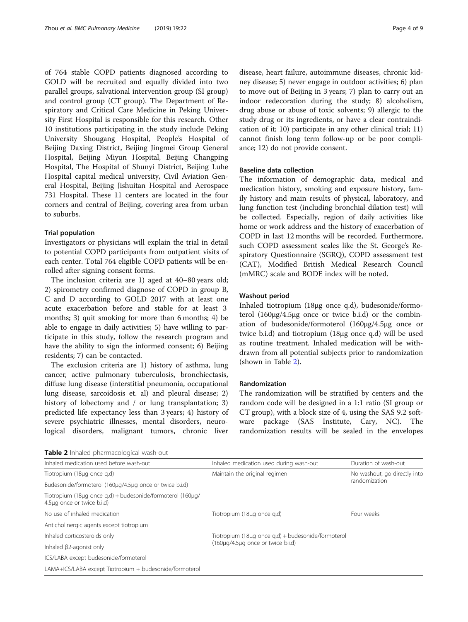of 764 stable COPD patients diagnosed according to GOLD will be recruited and equally divided into two parallel groups, salvational intervention group (SI group) and control group (CT group). The Department of Respiratory and Critical Care Medicine in Peking University First Hospital is responsible for this research. Other 10 institutions participating in the study include Peking University Shougang Hospital, People's Hospital of Beijing Daxing District, Beijing Jingmei Group General Hospital, Beijing Miyun Hospital, Beijing Changping Hospital, The Hospital of Shunyi District, Beijing Luhe Hospital capital medical university, Civil Aviation General Hospital, Beijing Jishuitan Hospital and Aerospace 731 Hospital. These 11 centers are located in the four corners and central of Beijing, covering area from urban to suburbs.

## Trial population

Investigators or physicians will explain the trial in detail to potential COPD participants from outpatient visits of each center. Total 764 eligible COPD patients will be enrolled after signing consent forms.

The inclusion criteria are 1) aged at 40–80 years old; 2) spirometry confirmed diagnose of COPD in group B, C and D according to GOLD 2017 with at least one acute exacerbation before and stable for at least 3 months; 3) quit smoking for more than 6 months; 4) be able to engage in daily activities; 5) have willing to participate in this study, follow the research program and have the ability to sign the informed consent; 6) Beijing residents; 7) can be contacted.

The exclusion criteria are 1) history of asthma, lung cancer, active pulmonary tuberculosis, bronchiectasis, diffuse lung disease (interstitial pneumonia, occupational lung disease, sarcoidosis et. al) and pleural disease; 2) history of lobectomy and / or lung transplantation; 3) predicted life expectancy less than 3 years; 4) history of severe psychiatric illnesses, mental disorders, neurological disorders, malignant tumors, chronic liver disease, heart failure, autoimmune diseases, chronic kidney disease; 5) never engage in outdoor activities; 6) plan to move out of Beijing in 3 years; 7) plan to carry out an indoor redecoration during the study; 8) alcoholism, drug abuse or abuse of toxic solvents; 9) allergic to the study drug or its ingredients, or have a clear contraindication of it; 10) participate in any other clinical trial; 11) cannot finish long term follow-up or be poor compliance; 12) do not provide consent.

## Baseline data collection

The information of demographic data, medical and medication history, smoking and exposure history, family history and main results of physical, laboratory, and lung function test (including bronchial dilation test) will be collected. Especially, region of daily activities like home or work address and the history of exacerbation of COPD in last 12 months will be recorded. Furthermore, such COPD assessment scales like the St. George's Respiratory Questionnaire (SGRQ), COPD assessment test (CAT), Modified British Medical Research Council (mMRC) scale and BODE index will be noted.

#### Washout period

Inhaled tiotropium (18μg once q.d), budesonide/formoterol (160μg/4.5μg once or twice b.i.d) or the combination of budesonide/formoterol (160μg/4.5μg once or twice b.i.d) and tiotropium (18μg once q.d) will be used as routine treatment. Inhaled medication will be withdrawn from all potential subjects prior to randomization (shown in Table 2).

#### Randomization

The randomization will be stratified by centers and the random code will be designed in a 1:1 ratio (SI group or CT group), with a block size of 4, using the SAS 9.2 software package (SAS Institute, Cary, NC). The randomization results will be sealed in the envelopes

Table 2 Inhaled pharmacological wash-out

| Inhaled medication used before wash-out                                                  | Inhaled medication used during wash-out            | Duration of wash-out                          |  |  |  |
|------------------------------------------------------------------------------------------|----------------------------------------------------|-----------------------------------------------|--|--|--|
| Tiotropium (18µg once g.d)                                                               | Maintain the original regimen                      | No washout, go directly into<br>randomization |  |  |  |
| Budesonide/formoterol (160µg/4.5µg once or twice b.i.d)                                  |                                                    |                                               |  |  |  |
| Tiotropium (18µg once g.d) + budesonide/formoterol (160µg/<br>4.5µg once or twice b.i.d) |                                                    |                                               |  |  |  |
| No use of inhaled medication                                                             | Tiotropium (18µg once g.d)                         | Four weeks                                    |  |  |  |
| Anticholinergic agents except tiotropium                                                 |                                                    |                                               |  |  |  |
| Inhaled corticosteroids only                                                             | Tiotropium (18µg once g.d) + budesonide/formoterol |                                               |  |  |  |
| Inhaled B2-agonist only                                                                  | (160µg/4.5µg once or twice b.i.d)                  |                                               |  |  |  |
| ICS/LABA except budesonide/formoterol                                                    |                                                    |                                               |  |  |  |
| LAMA+ICS/LABA except Tiotropium + budesonide/formoterol                                  |                                                    |                                               |  |  |  |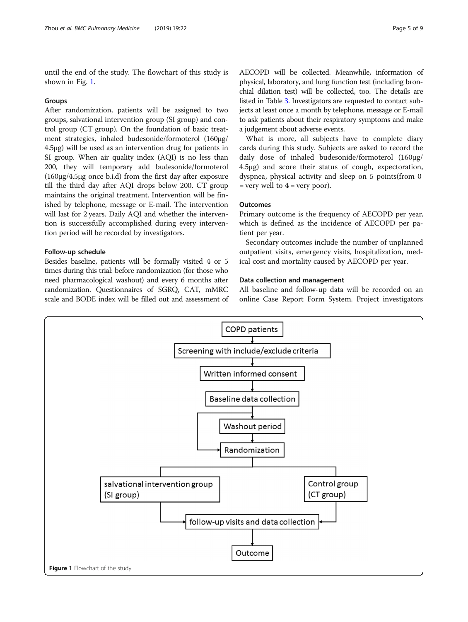until the end of the study. The flowchart of this study is shown in Fig. 1.

#### Groups

After randomization, patients will be assigned to two groups, salvational intervention group (SI group) and control group (CT group). On the foundation of basic treatment strategies, inhaled budesonide/formoterol (160μg/ 4.5μg) will be used as an intervention drug for patients in SI group. When air quality index (AQI) is no less than 200, they will temporary add budesonide/formoterol (160μg/4.5μg once b.i.d) from the first day after exposure till the third day after AQI drops below 200. CT group maintains the original treatment. Intervention will be finished by telephone, message or E-mail. The intervention will last for 2 years. Daily AQI and whether the intervention is successfully accomplished during every intervention period will be recorded by investigators.

#### Follow-up schedule

Besides baseline, patients will be formally visited 4 or 5 times during this trial: before randomization (for those who need pharmacological washout) and every 6 months after randomization. Questionnaires of SGRQ, CAT, mMRC scale and BODE index will be filled out and assessment of AECOPD will be collected. Meanwhile, information of physical, laboratory, and lung function test (including bronchial dilation test) will be collected, too. The details are listed in Table [3.](#page-5-0) Investigators are requested to contact subjects at least once a month by telephone, message or E-mail to ask patients about their respiratory symptoms and make a judgement about adverse events.

What is more, all subjects have to complete diary cards during this study. Subjects are asked to record the daily dose of inhaled budesonide/formoterol (160μg/ 4.5μg) and score their status of cough, expectoration, dyspnea, physical activity and sleep on 5 points(from 0  $=$  very well to  $4 =$  very poor).

#### **Outcomes**

Primary outcome is the frequency of AECOPD per year, which is defined as the incidence of AECOPD per patient per year.

Secondary outcomes include the number of unplanned outpatient visits, emergency visits, hospitalization, medical cost and mortality caused by AECOPD per year.

## Data collection and management

All baseline and follow-up data will be recorded on an online Case Report Form System. Project investigators

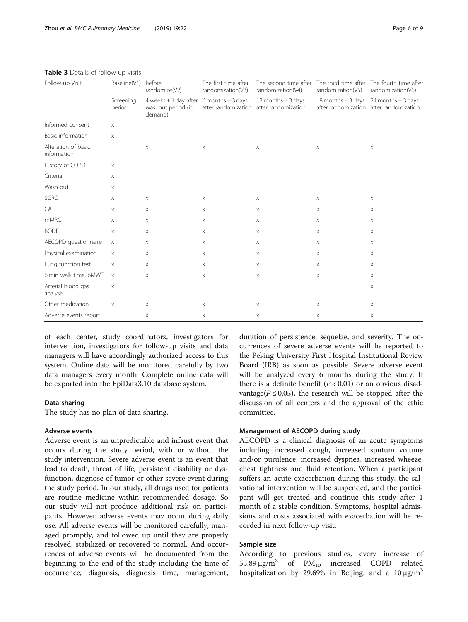| Follow-up Visit                    | Baseline(V1)        | Before<br>randomize(V2)                                                          | The first time after<br>randomization(V3) | The second time after The third time after The fourth time after<br>randomization(V4) | randomization(V5)     | randomization(V6)                                                                        |
|------------------------------------|---------------------|----------------------------------------------------------------------------------|-------------------------------------------|---------------------------------------------------------------------------------------|-----------------------|------------------------------------------------------------------------------------------|
|                                    | Screening<br>period | 4 weeks $\pm$ 1 day after 6 months $\pm$ 3 days<br>washout period (in<br>demand) | after randomization                       | 12 months $\pm$ 3 days<br>after randomization                                         |                       | 18 months $\pm$ 3 days 24 months $\pm$ 3 days<br>after randomization after randomization |
| Informed consent                   | $\times$            |                                                                                  |                                           |                                                                                       |                       |                                                                                          |
| Basic information                  | $\mathsf X$         |                                                                                  |                                           |                                                                                       |                       |                                                                                          |
| Alteration of basic<br>information |                     | $\mathsf X$                                                                      | Χ                                         | X                                                                                     | X                     | X                                                                                        |
| History of COPD                    | $\times$            |                                                                                  |                                           |                                                                                       |                       |                                                                                          |
| Criteria                           | $\mathsf X$         |                                                                                  |                                           |                                                                                       |                       |                                                                                          |
| Wash-out                           | $\times$            |                                                                                  |                                           |                                                                                       |                       |                                                                                          |
| SGRQ                               | X                   | $\mathsf X$                                                                      | $\times$                                  | $\mathsf X$                                                                           | X                     | X                                                                                        |
| CAT                                | $\times$            | $\mathsf X$                                                                      | X                                         | X                                                                                     | $\boldsymbol{\times}$ | X                                                                                        |
| <b>mMRC</b>                        | $\times$            | $\mathsf X$                                                                      | X                                         | X                                                                                     | X                     | X                                                                                        |
| <b>BODE</b>                        | $\mathsf X$         | $\mathsf X$                                                                      | $\mathsf X$                               | X                                                                                     | X                     | X                                                                                        |
| AECOPD questionnaire               | $\mathsf X$         | $\mathsf X$                                                                      | Χ                                         | X                                                                                     | X                     | X                                                                                        |
| Physical examination               | $\times$            | $\mathsf X$                                                                      | Χ                                         | X                                                                                     | X                     | X                                                                                        |
| Lung function test                 | $\times$            | $\mathsf X$                                                                      | X                                         | X                                                                                     | X                     | X                                                                                        |
| 6 min walk time, 6MWT              | $\mathsf{X}$        | $\mathsf X$                                                                      | X                                         | X                                                                                     | X                     | X                                                                                        |
| Arterial blood gas<br>analysis     | $\times$            |                                                                                  |                                           |                                                                                       |                       | X                                                                                        |
| Other medication                   | $\times$            | $\mathsf X$                                                                      | X                                         | X                                                                                     | $\boldsymbol{\times}$ | X                                                                                        |
| Adverse events report              |                     | $\boldsymbol{\times}$                                                            | X                                         | X                                                                                     | X                     | X                                                                                        |

#### <span id="page-5-0"></span>Table 3 Details of follow-up visits

of each center, study coordinators, investigators for intervention, investigators for follow-up visits and data managers will have accordingly authorized access to this system. Online data will be monitored carefully by two data managers every month. Complete online data will be exported into the EpiData3.10 database system.

## Data sharing

The study has no plan of data sharing.

#### Adverse events

Adverse event is an unpredictable and infaust event that occurs during the study period, with or without the study intervention. Severe adverse event is an event that lead to death, threat of life, persistent disability or dysfunction, diagnose of tumor or other severe event during the study period. In our study, all drugs used for patients are routine medicine within recommended dosage. So our study will not produce additional risk on participants. However, adverse events may occur during daily use. All adverse events will be monitored carefully, managed promptly, and followed up until they are properly resolved, stabilized or recovered to normal. And occurrences of adverse events will be documented from the beginning to the end of the study including the time of occurrence, diagnosis, diagnosis time, management,

duration of persistence, sequelae, and severity. The occurrences of severe adverse events will be reported to the Peking University First Hospital Institutional Review Board (IRB) as soon as possible. Severe adverse event will be analyzed every 6 months during the study. If there is a definite benefit  $(P < 0.01)$  or an obvious disadvantage( $P \le 0.05$ ), the research will be stopped after the discussion of all centers and the approval of the ethic committee.

## Management of AECOPD during study

AECOPD is a clinical diagnosis of an acute symptoms including increased cough, increased sputum volume and/or purulence, increased dyspnea, increased wheeze, chest tightness and fluid retention. When a participant suffers an acute exacerbation during this study, the salvational intervention will be suspended, and the participant will get treated and continue this study after 1 month of a stable condition. Symptoms, hospital admissions and costs associated with exacerbation will be recorded in next follow-up visit.

## Sample size

According to previous studies, every increase of 55.89  $\mu$ g/m<sup>3</sup> of PM<sub>10</sub> increased COPD related hospitalization by 29.69% in Beijing, and a  $10 \mu g/m<sup>3</sup>$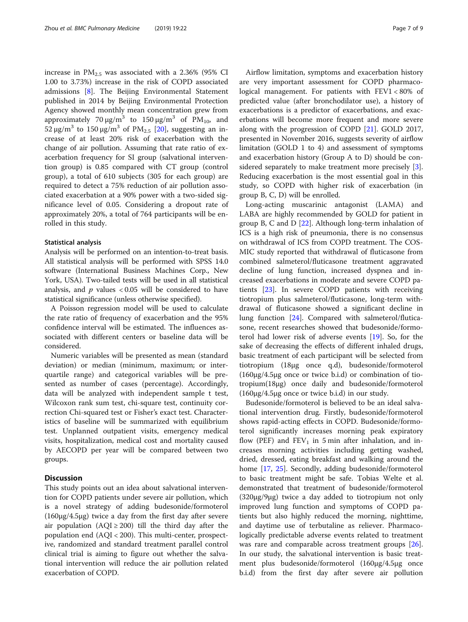increase in  $PM_{2.5}$  was associated with a 2.36% (95% CI 1.00 to 3.73%) increase in the risk of COPD associated admissions [[8\]](#page-8-0). The Beijing Environmental Statement published in 2014 by Beijing Environmental Protection Agency showed monthly mean concentration grew from approximately 70  $\mu$ g/m<sup>3</sup> to 150  $\mu$ g/m<sup>3</sup> of PM<sub>10</sub>, and 52 μg/m<sup>3</sup> to 150 μg/m<sup>3</sup> of PM<sub>2.5</sub> [\[20](#page-8-0)], suggesting an increase of at least 20% risk of exacerbation with the change of air pollution. Assuming that rate ratio of exacerbation frequency for SI group (salvational intervention group) is 0.85 compared with CT group (control group), a total of 610 subjects (305 for each group) are required to detect a 75% reduction of air pollution associated exacerbation at a 90% power with a two-sided significance level of 0.05. Considering a dropout rate of approximately 20%, a total of 764 participants will be enrolled in this study.

#### Statistical analysis

Analysis will be performed on an intention-to-treat basis. All statistical analysis will be performed with SPSS 14.0 software (International Business Machines Corp., New York, USA). Two-tailed tests will be used in all statistical analysis, and  $p$  values  $<0.05$  will be considered to have statistical significance (unless otherwise specified).

A Poisson regression model will be used to calculate the rate ratio of frequency of exacerbation and the 95% confidence interval will be estimated. The influences associated with different centers or baseline data will be considered.

Numeric variables will be presented as mean (standard deviation) or median (minimum, maximum; or interquartile range) and categorical variables will be presented as number of cases (percentage). Accordingly, data will be analyzed with independent sample t test, Wilcoxon rank sum test, chi-square test, continuity correction Chi-squared test or Fisher's exact test. Characteristics of baseline will be summarized with equilibrium test. Unplanned outpatient visits, emergency medical visits, hospitalization, medical cost and mortality caused by AECOPD per year will be compared between two groups.

## **Discussion**

This study points out an idea about salvational intervention for COPD patients under severe air pollution, which is a novel strategy of adding budesonide/formoterol (160μg/4.5μg) twice a day from the first day after severe air population (AQI  $\geq$  200) till the third day after the population end (AQI < 200). This multi-center, prospective, randomized and standard treatment parallel control clinical trial is aiming to figure out whether the salvational intervention will reduce the air pollution related exacerbation of COPD.

Airflow limitation, symptoms and exacerbation history are very important assessment for COPD pharmacological management. For patients with FEV1 < 80% of predicted value (after bronchodilator use), a history of exacerbations is a predictor of exacerbations, and exacerbations will become more frequent and more severe along with the progression of COPD [\[21](#page-8-0)]. GOLD 2017, presented in November 2016, suggests severity of airflow limitation (GOLD 1 to 4) and assessment of symptoms and exacerbation history (Group A to D) should be considered separately to make treatment more precisely [\[3](#page-7-0)]. Reducing exacerbation is the most essential goal in this study, so COPD with higher risk of exacerbation (in group B, C, D) will be enrolled.

Long-acting muscarinic antagonist (LAMA) and LABA are highly recommended by GOLD for patient in group B, C and D [\[22](#page-8-0)]. Although long-term inhalation of ICS is a high risk of pneumonia, there is no consensus on withdrawal of ICS from COPD treatment. The COS-MIC study reported that withdrawal of fluticasone from combined salmeterol/fluticasone treatment aggravated decline of lung function, increased dyspnea and increased exacerbations in moderate and severe COPD patients [[23\]](#page-8-0). In severe COPD patients with receiving tiotropium plus salmeterol/fluticasone, long-term withdrawal of fluticasone showed a significant decline in lung function [\[24](#page-8-0)]. Compared with salmeterol/fluticasone, recent researches showed that budesonide/formoterol had lower risk of adverse events [[19](#page-8-0)]. So, for the sake of decreasing the effects of different inhaled drugs, basic treatment of each participant will be selected from tiotropium (18μg once q.d), budesonide/formoterol (160μg/4.5μg once or twice b.i.d) or combination of tiotropium(18μg) once daily and budesonide/formoterol (160μg/4.5μg once or twice b.i.d) in our study.

Budesonide/formoterol is believed to be an ideal salvational intervention drug. Firstly, budesonide/formoterol shows rapid-acting effects in COPD. Budesonide/formoterol significantly increases morning peak expiratory flow (PEF) and  $FEV_1$  in 5 min after inhalation, and increases morning activities including getting washed, dried, dressed, eating breakfast and walking around the home [[17,](#page-8-0) [25\]](#page-8-0). Secondly, adding budesonide/formoterol to basic treatment might be safe. Tobias Welte et al. demonstrated that treatment of budesonide/formoterol (320μg/9μg) twice a day added to tiotropium not only improved lung function and symptoms of COPD patients but also highly reduced the morning, nighttime, and daytime use of terbutaline as reliever. Pharmacologically predictable adverse events related to treatment was rare and comparable across treatment groups [\[26](#page-8-0)]. In our study, the salvational intervention is basic treatment plus budesonide/formoterol (160μg/4.5μg once b.i.d) from the first day after severe air pollution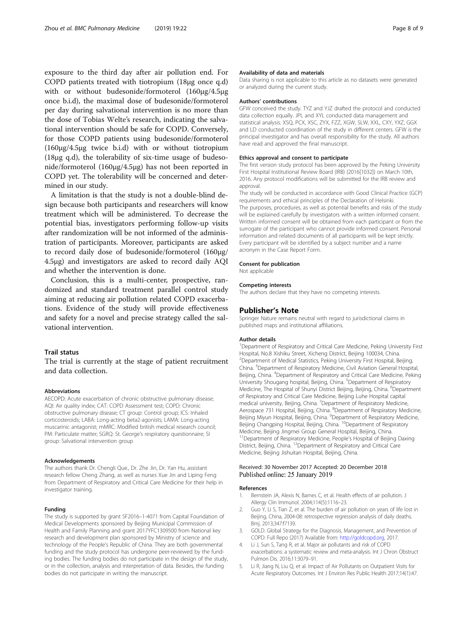<span id="page-7-0"></span>exposure to the third day after air pollution end. For COPD patients treated with tiotropium (18μg once q.d) with or without budesonide/formoterol (160μg/4.5μg once b.i.d), the maximal dose of budesonide/formoterol per day during salvational intervention is no more than the dose of Tobias Welte's research, indicating the salvational intervention should be safe for COPD. Conversely, for those COPD patients using budesonide/formoterol (160μg/4.5μg twice b.i.d) with or without tiotropium (18μg q.d), the tolerability of six-time usage of budesonide/formoterol (160μg/4.5μg) has not been reported in COPD yet. The tolerability will be concerned and determined in our study.

A limitation is that the study is not a double-blind design because both participants and researchers will know treatment which will be administered. To decrease the potential bias, investigators performing follow-up visits after randomization will be not informed of the administration of participants. Moreover, participants are asked to record daily dose of budesonide/formoterol (160μg/ 4.5μg) and investigators are asked to record daily AQI and whether the intervention is done.

Conclusion, this is a multi-center, prospective, randomized and standard treatment parallel control study aiming at reducing air pollution related COPD exacerbations. Evidence of the study will provide effectiveness and safety for a novel and precise strategy called the salvational intervention.

#### Trail status

The trial is currently at the stage of patient recruitment and data collection.

#### Abbreviations

AECOPD: Acute exacerbation of chronic obstructive pulmonary disease; AQI: Air quality index; CAT: COPD Assessment test; COPD: Chronic obstructive pulmonary disease; CT group: Control group; ICS: Inhaled corticosteroids; LABA: Long-acting beta2-agonists; LAMA: Long-acting muscarinic antagonist; mMRC: Modified british medical research council; PM: Particulate matter; SGRQ: St. George's respiratory questionnaire; SI group: Salvational intervention group

#### Acknowledgements

The authors thank Dr. Chengli Que., Dr. Zhe Jin, Dr. Yan Hu, assistant research fellow Cheng Zhang, as well as nurses Xue Jin and Liping Feng from Department of Respiratory and Critical Care Medicine for their help in investigator training.

#### Funding

The study is supported by grant SF2016–1-4071 from Capital Foundation of Medical Developments sponsored by Beijing Municipal Commission of Health and Family Planning and grant 2017YFC1309500 from National key research and development plan sponsored by Ministry of science and technology of the People's Republic of China. They are both governmental funding and the study protocol has undergone peer-reviewed by the funding bodies. The funding bodies do not participate in the design of the study, or in the collection, analysis and interpretation of data. Besides, the funding bodies do not participate in writing the manuscript.

#### Availability of data and materials

Data sharing is not applicable to this article as no datasets were generated or analyzed during the current study.

#### Authors' contributions

GFW conceived the study. TYZ and YJZ drafted the protocol and conducted data collection equally. JPL and XYL conducted data management and statistical analysis. XSQ, PCX, XSC, ZYX, FZZ, XGW, SLW, XXL, CXY, YXZ, GGX and LD conducted coordination of the study in different centers. GFW is the principal investigator and has overall responsibility for the study. All authors have read and approved the final manuscript.

#### Ethics approval and consent to participate

The first version study protocol has been approved by the Peking University First Hospital Institutional Review Board (IRB) (2016[1032]) on March 10th, 2016. Any protocol modifications will be submitted for the IRB review and approval.

The study will be conducted in accordance with Good Clinical Practice (GCP) requirements and ethical principles of the Declaration of Helsinki.

The purposes, procedures, as well as potential benefits and risks of the study will be explained carefully by investigators with a written informed consent. Written informed consent will be obtained from each participant or from the surrogate of the participant who cannot provide informed consent. Personal information and related documents of all participants will be kept strictly. Every participant will be identified by a subject number and a name acronym in the Case Report Form.

#### Consent for publication

Not applicable

#### Competing interests

The authors declare that they have no competing interests.

#### Publisher's Note

Springer Nature remains neutral with regard to jurisdictional claims in published maps and institutional affiliations.

#### Author details

<sup>1</sup>Department of Respiratory and Critical Care Medicine, Peking University First Hospital, No.8 Xishiku Street, Xicheng District, Beijing 100034, China. <sup>2</sup>Department of Medical Statistics, Peking University First Hospital, Beijing, China. <sup>3</sup> Department of Respiratory Medicine, Civil Aviation General Hospital, Beijing, China. <sup>4</sup>Department of Respiratory and Critical Care Medicine, Peking University Shougang hospital, Beijing, China. <sup>5</sup>Department of Respiratory Medicine, The Hospital of Shunyi District Beijing, Beijing, China. <sup>6</sup>Department of Respiratory and Critical Care Medicine, Beijing Luhe Hospital capital medical university, Beijing, China. <sup>7</sup>Department of Respiratory Medicine, Aerospace 731 Hospital, Beijing, China. <sup>8</sup>Department of Respiratory Medicine Beijing Miyun Hospital, Beijing, China. <sup>9</sup>Department of Respiratory Medicine Beijing Changping Hospital, Beijing, China. <sup>10</sup>Department of Respiratory Medicine, Beijing Jingmei Group General Hospital, Beijing, China. <sup>11</sup>Department of Respiratory Medicine, People's Hospital of Beijing Daxing District, Beijing, China. 12Department of Respiratory and Critical Care Medicine, Beijing Jishuitan Hospital, Beijing, China.

#### Received: 30 November 2017 Accepted: 20 December 2018 Published online: 25 January 2019

#### References

- 1. Bernstein JA, Alexis N, Barnes C, et al. Health effects of air pollution. J Allergy Clin Immunol. 2004;114(5):1116–23.
- 2. Guo Y, Li S, Tian Z, et al. The burden of air pollution on years of life lost in Beijing, China, 2004-08: retrospective regression analysis of daily deaths. Bmj. 2013;347:f7139.
- 3. GOLD. Global Strategy for the Diagnosis, Management, and Prevention of COPD: Full Repo (2017) Available from: <http://goldcopd.org>, 2017.
- 4. Li J, Sun S, Tang R, et al. Major air pollutants and risk of COPD exacerbations: a systematic review and meta-analysis. Int J Chron Obstruct Pulmon Dis. 2016;11:3079–91.
- 5. Li R, Jiang N, Liu Q, et al. Impact of Air Pollutants on Outpatient Visits for Acute Respiratory Outcomes. Int J Environ Res Public Health 2017;14(1):47.